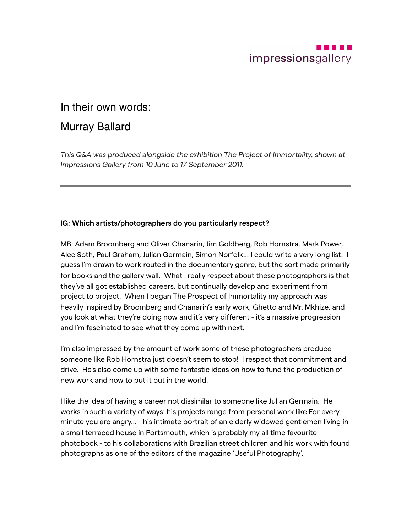

# In their own words:

# Murray Ballard

*This Q&A was produced alongside the exhibition The Project of Immortality, shown at Impressions Gallery from 10 June to 17 September 2011.*

## **IG: Which artists/photographers do you particularly respect?**

MB: Adam Broomberg and Oliver Chanarin, Jim Goldberg, Rob Hornstra, Mark Power, Alec Soth, Paul Graham, Julian Germain, Simon Norfolk... I could write a very long list. I guess I'm drawn to work routed in the documentary genre, but the sort made primarily for books and the gallery wall. What I really respect about these photographers is that they've all got established careers, but continually develop and experiment from project to project. When I began The Prospect of Immortality my approach was heavily inspired by Broomberg and Chanarin's early work, Ghetto and Mr. Mkhize, and you look at what they're doing now and it's very different - it's a massive progression and I'm fascinated to see what they come up with next.

I'm also impressed by the amount of work some of these photographers produce someone like Rob Hornstra just doesn't seem to stop! I respect that commitment and drive. He's also come up with some fantastic ideas on how to fund the production of new work and how to put it out in the world.

I like the idea of having a career not dissimilar to someone like Julian Germain. He works in such a variety of ways: his projects range from personal work like For every minute you are angry... - his intimate portrait of an elderly widowed gentlemen living in a small terraced house in Portsmouth, which is probably my all time favourite photobook - to his collaborations with Brazilian street children and his work with found photographs as one of the editors of the magazine 'Useful Photography'.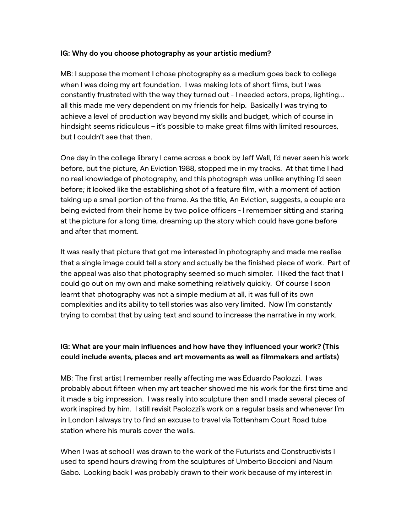#### **IG: Why do you choose photography as your artistic medium?**

MB: I suppose the moment I chose photography as a medium goes back to college when I was doing my art foundation. I was making lots of short films, but I was constantly frustrated with the way they turned out - I needed actors, props, lighting... all this made me very dependent on my friends for help. Basically I was trying to achieve a level of production way beyond my skills and budget, which of course in hindsight seems ridiculous – it's possible to make great films with limited resources, but I couldn't see that then.

One day in the college library I came across a book by Jeff Wall, I'd never seen his work before, but the picture, An Eviction 1988, stopped me in my tracks. At that time I had no real knowledge of photography, and this photograph was unlike anything I'd seen before; it looked like the establishing shot of a feature film, with a moment of action taking up a small portion of the frame. As the title, An Eviction, suggests, a couple are being evicted from their home by two police officers - I remember sitting and staring at the picture for a long time, dreaming up the story which could have gone before and after that moment.

It was really that picture that got me interested in photography and made me realise that a single image could tell a story and actually be the finished piece of work. Part of the appeal was also that photography seemed so much simpler. I liked the fact that I could go out on my own and make something relatively quickly. Of course I soon learnt that photography was not a simple medium at all, it was full of its own complexities and its ability to tell stories was also very limited. Now I'm constantly trying to combat that by using text and sound to increase the narrative in my work.

## **IG: What are your main influences and how have they influenced your work? (This could include events, places and art movements as well as filmmakers and artists)**

MB: The first artist I remember really affecting me was Eduardo Paolozzi. I was probably about fifteen when my art teacher showed me his work for the first time and it made a big impression. I was really into sculpture then and I made several pieces of work inspired by him. I still revisit Paolozzi's work on a regular basis and whenever I'm in London I always try to find an excuse to travel via Tottenham Court Road tube station where his murals cover the walls.

When I was at school I was drawn to the work of the Futurists and Constructivists I used to spend hours drawing from the sculptures of Umberto Boccioni and Naum Gabo. Looking back I was probably drawn to their work because of my interest in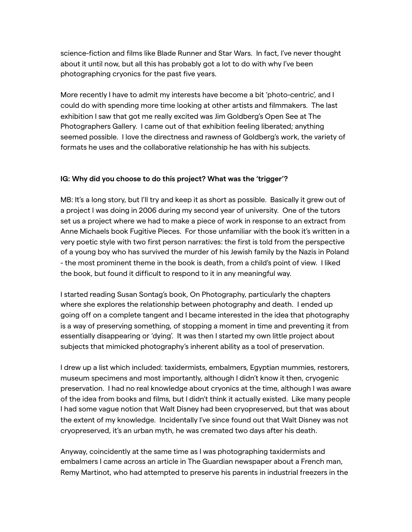science-fiction and films like Blade Runner and Star Wars. In fact, I've never thought about it until now, but all this has probably got a lot to do with why I've been photographing cryonics for the past five years.

More recently I have to admit my interests have become a bit 'photo-centric', and I could do with spending more time looking at other artists and filmmakers. The last exhibition I saw that got me really excited was Jim Goldberg's Open See at The Photographers Gallery. I came out of that exhibition feeling liberated; anything seemed possible. I love the directness and rawness of Goldberg's work, the variety of formats he uses and the collaborative relationship he has with his subjects.

### **IG: Why did you choose to do this project? What was the 'trigger'?**

MB: It's a long story, but I'll try and keep it as short as possible. Basically it grew out of a project I was doing in 2006 during my second year of university. One of the tutors set us a project where we had to make a piece of work in response to an extract from Anne Michaels book Fugitive Pieces. For those unfamiliar with the book it's written in a very poetic style with two first person narratives: the first is told from the perspective of a young boy who has survived the murder of his Jewish family by the Nazis in Poland - the most prominent theme in the book is death, from a child's point of view. I liked the book, but found it difficult to respond to it in any meaningful way.

I started reading Susan Sontag's book, On Photography, particularly the chapters where she explores the relationship between photography and death. I ended up going off on a complete tangent and I became interested in the idea that photography is a way of preserving something, of stopping a moment in time and preventing it from essentially disappearing or 'dying'. It was then I started my own little project about subjects that mimicked photography's inherent ability as a tool of preservation.

I drew up a list which included: taxidermists, embalmers, Egyptian mummies, restorers, museum specimens and most importantly, although I didn't know it then, cryogenic preservation. I had no real knowledge about cryonics at the time, although I was aware of the idea from books and films, but I didn't think it actually existed. Like many people I had some vague notion that Walt Disney had been cryopreserved, but that was about the extent of my knowledge. Incidentally I've since found out that Walt Disney was not cryopreserved, it's an urban myth, he was cremated two days after his death.

Anyway, coincidently at the same time as I was photographing taxidermists and embalmers I came across an article in The Guardian newspaper about a French man, Remy Martinot, who had attempted to preserve his parents in industrial freezers in the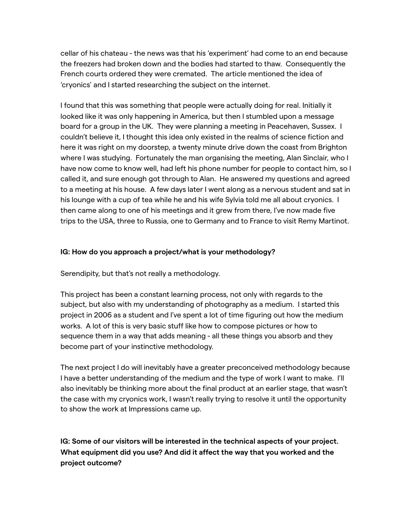cellar of his chateau - the news was that his 'experiment' had come to an end because the freezers had broken down and the bodies had started to thaw. Consequently the French courts ordered they were cremated. The article mentioned the idea of 'cryonics' and I started researching the subject on the internet.

I found that this was something that people were actually doing for real. Initially it looked like it was only happening in America, but then I stumbled upon a message board for a group in the UK. They were planning a meeting in Peacehaven, Sussex. I couldn't believe it, I thought this idea only existed in the realms of science fiction and here it was right on my doorstep, a twenty minute drive down the coast from Brighton where I was studying. Fortunately the man organising the meeting, Alan Sinclair, who I have now come to know well, had left his phone number for people to contact him, so I called it, and sure enough got through to Alan. He answered my questions and agreed to a meeting at his house. A few days later I went along as a nervous student and sat in his lounge with a cup of tea while he and his wife Sylvia told me all about cryonics. I then came along to one of his meetings and it grew from there, I've now made five trips to the USA, three to Russia, one to Germany and to France to visit Remy Martinot.

### **IG: How do you approach a project/what is your methodology?**

Serendipity, but that's not really a methodology.

This project has been a constant learning process, not only with regards to the subject, but also with my understanding of photography as a medium. I started this project in 2006 as a student and I've spent a lot of time figuring out how the medium works. A lot of this is very basic stuff like how to compose pictures or how to sequence them in a way that adds meaning - all these things you absorb and they become part of your instinctive methodology.

The next project I do will inevitably have a greater preconceived methodology because I have a better understanding of the medium and the type of work I want to make. I'll also inevitably be thinking more about the final product at an earlier stage, that wasn't the case with my cryonics work, I wasn't really trying to resolve it until the opportunity to show the work at Impressions came up.

**IG: Some of our visitors will be interested in the technical aspects of your project. What equipment did you use? And did it affect the way that you worked and the project outcome?**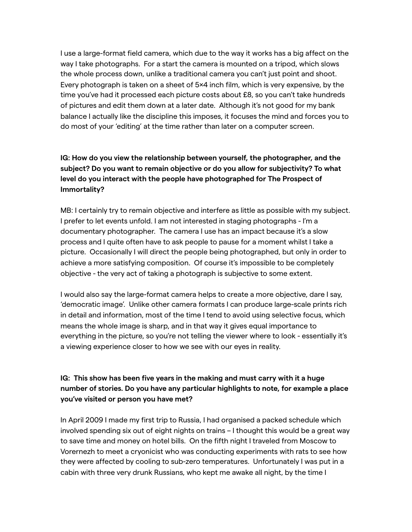I use a large-format field camera, which due to the way it works has a big affect on the way I take photographs. For a start the camera is mounted on a tripod, which slows the whole process down, unlike a traditional camera you can't just point and shoot. Every photograph is taken on a sheet of 5×4 inch film, which is very expensive, by the time you've had it processed each picture costs about £8, so you can't take hundreds of pictures and edit them down at a later date. Although it's not good for my bank balance I actually like the discipline this imposes, it focuses the mind and forces you to do most of your 'editing' at the time rather than later on a computer screen.

# **IG: How do you view the relationship between yourself, the photographer, and the subject? Do you want to remain objective or do you allow for subjectivity? To what level do you interact with the people have photographed for The Prospect of Immortality?**

MB: I certainly try to remain objective and interfere as little as possible with my subject. I prefer to let events unfold. I am not interested in staging photographs - I'm a documentary photographer. The camera I use has an impact because it's a slow process and I quite often have to ask people to pause for a moment whilst I take a picture. Occasionally I will direct the people being photographed, but only in order to achieve a more satisfying composition. Of course it's impossible to be completely objective - the very act of taking a photograph is subjective to some extent.

I would also say the large-format camera helps to create a more objective, dare I say, 'democratic image'. Unlike other camera formats I can produce large-scale prints rich in detail and information, most of the time I tend to avoid using selective focus, which means the whole image is sharp, and in that way it gives equal importance to everything in the picture, so you're not telling the viewer where to look - essentially it's a viewing experience closer to how we see with our eyes in reality.

## **IG: This show has been five years in the making and must carry with it a huge number of stories. Do you have any particular highlights to note, for example a place you've visited or person you have met?**

In April 2009 I made my first trip to Russia, I had organised a packed schedule which involved spending six out of eight nights on trains – I thought this would be a great way to save time and money on hotel bills. On the fifth night I traveled from Moscow to Vorernezh to meet a cryonicist who was conducting experiments with rats to see how they were affected by cooling to sub-zero temperatures. Unfortunately I was put in a cabin with three very drunk Russians, who kept me awake all night, by the time I